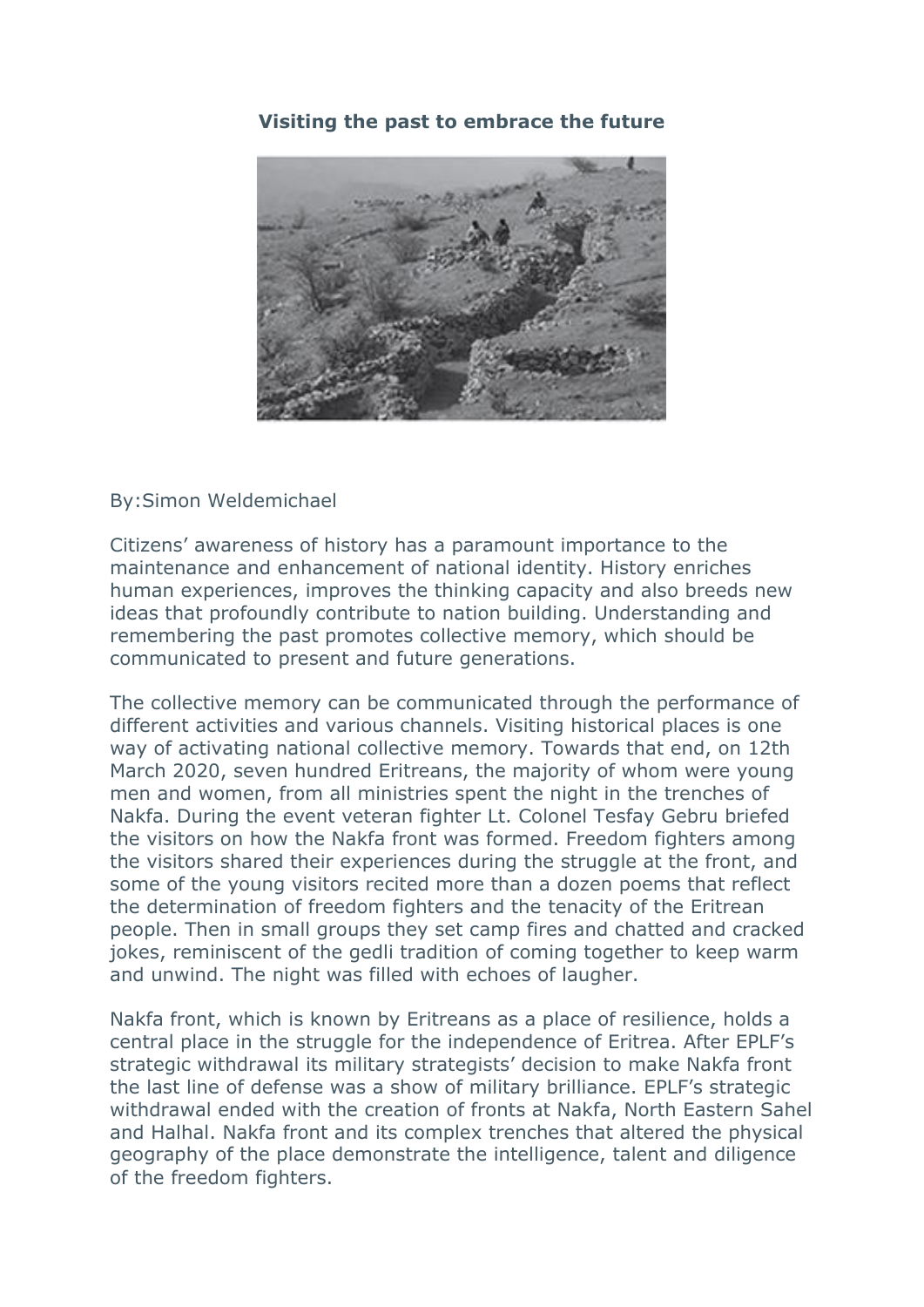## **Visiting the past to embrace the future**



By:Simon Weldemichael

Citizens' awareness of history has a paramount importance to the maintenance and enhancement of national identity. History enriches human experiences, improves the thinking capacity and also breeds new ideas that profoundly contribute to nation building. Understanding and remembering the past promotes collective memory, which should be communicated to present and future generations.

The collective memory can be communicated through the performance of different activities and various channels. Visiting historical places is one way of activating national collective memory. Towards that end, on 12th March 2020, seven hundred Eritreans, the majority of whom were young men and women, from all ministries spent the night in the trenches of Nakfa. During the event veteran fighter Lt. Colonel Tesfay Gebru briefed the visitors on how the Nakfa front was formed. Freedom fighters among the visitors shared their experiences during the struggle at the front, and some of the young visitors recited more than a dozen poems that reflect the determination of freedom fighters and the tenacity of the Eritrean people. Then in small groups they set camp fires and chatted and cracked jokes, reminiscent of the gedli tradition of coming together to keep warm and unwind. The night was filled with echoes of laugher.

Nakfa front, which is known by Eritreans as a place of resilience, holds a central place in the struggle for the independence of Eritrea. After EPLF's strategic withdrawal its military strategists' decision to make Nakfa front the last line of defense was a show of military brilliance. EPLF's strategic withdrawal ended with the creation of fronts at Nakfa, North Eastern Sahel and Halhal. Nakfa front and its complex trenches that altered the physical geography of the place demonstrate the intelligence, talent and diligence of the freedom fighters.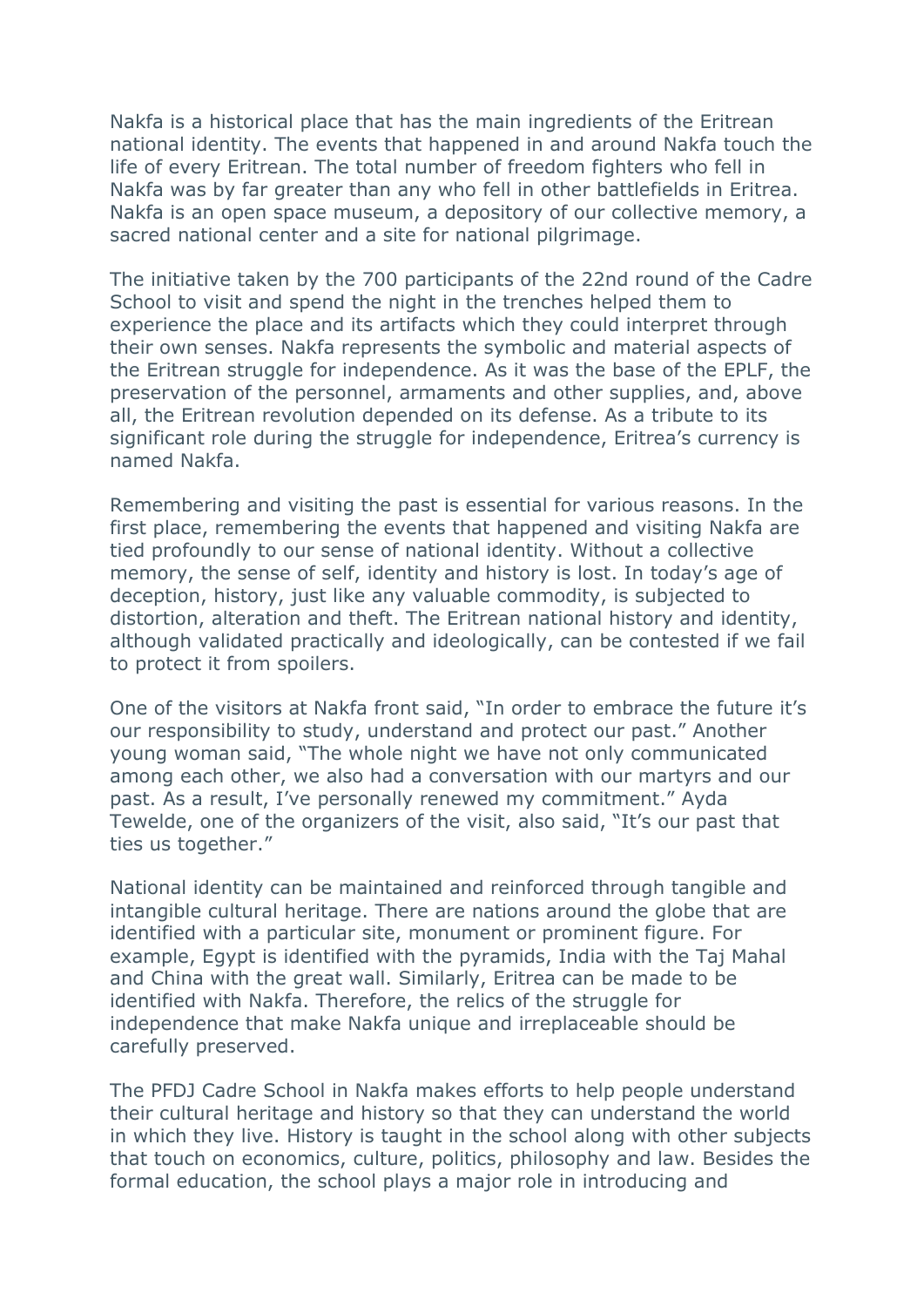Nakfa is a historical place that has the main ingredients of the Eritrean national identity. The events that happened in and around Nakfa touch the life of every Eritrean. The total number of freedom fighters who fell in Nakfa was by far greater than any who fell in other battlefields in Eritrea. Nakfa is an open space museum, a depository of our collective memory, a sacred national center and a site for national pilgrimage.

The initiative taken by the 700 participants of the 22nd round of the Cadre School to visit and spend the night in the trenches helped them to experience the place and its artifacts which they could interpret through their own senses. Nakfa represents the symbolic and material aspects of the Eritrean struggle for independence. As it was the base of the EPLF, the preservation of the personnel, armaments and other supplies, and, above all, the Eritrean revolution depended on its defense. As a tribute to its significant role during the struggle for independence, Eritrea's currency is named Nakfa.

Remembering and visiting the past is essential for various reasons. In the first place, remembering the events that happened and visiting Nakfa are tied profoundly to our sense of national identity. Without a collective memory, the sense of self, identity and history is lost. In today's age of deception, history, just like any valuable commodity, is subjected to distortion, alteration and theft. The Eritrean national history and identity, although validated practically and ideologically, can be contested if we fail to protect it from spoilers.

One of the visitors at Nakfa front said, "In order to embrace the future it's our responsibility to study, understand and protect our past." Another young woman said, "The whole night we have not only communicated among each other, we also had a conversation with our martyrs and our past. As a result, I've personally renewed my commitment." Ayda Tewelde, one of the organizers of the visit, also said, "It's our past that ties us together."

National identity can be maintained and reinforced through tangible and intangible cultural heritage. There are nations around the globe that are identified with a particular site, monument or prominent figure. For example, Egypt is identified with the pyramids, India with the Taj Mahal and China with the great wall. Similarly, Eritrea can be made to be identified with Nakfa. Therefore, the relics of the struggle for independence that make Nakfa unique and irreplaceable should be carefully preserved.

The PFDJ Cadre School in Nakfa makes efforts to help people understand their cultural heritage and history so that they can understand the world in which they live. History is taught in the school along with other subjects that touch on economics, culture, politics, philosophy and law. Besides the formal education, the school plays a major role in introducing and